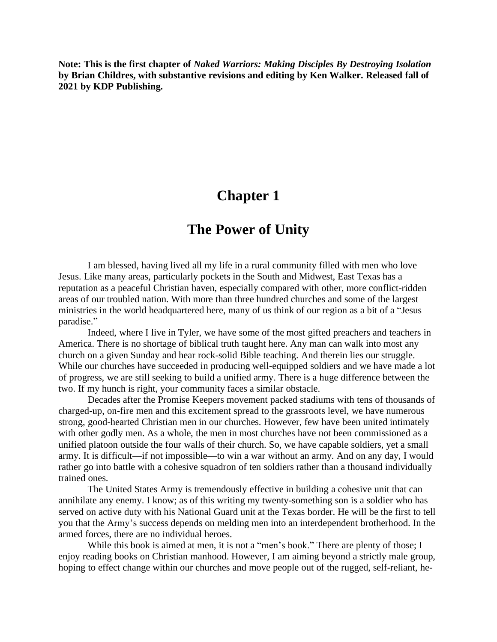**Note: This is the first chapter of** *Naked Warriors: Making Disciples By Destroying Isolation* **by Brian Childres, with substantive revisions and editing by Ken Walker. Released fall of 2021 by KDP Publishing.**

# **Chapter 1**

# **The Power of Unity**

 I am blessed, having lived all my life in a rural community filled with men who love Jesus. Like many areas, particularly pockets in the South and Midwest, East Texas has a reputation as a peaceful Christian haven, especially compared with other, more conflict-ridden areas of our troubled nation. With more than three hundred churches and some of the largest ministries in the world headquartered here, many of us think of our region as a bit of a "Jesus paradise."

 Indeed, where I live in Tyler, we have some of the most gifted preachers and teachers in America. There is no shortage of biblical truth taught here. Any man can walk into most any church on a given Sunday and hear rock-solid Bible teaching. And therein lies our struggle. While our churches have succeeded in producing well-equipped soldiers and we have made a lot of progress, we are still seeking to build a unified army. There is a huge difference between the two. If my hunch is right, your community faces a similar obstacle.

Decades after the Promise Keepers movement packed stadiums with tens of thousands of charged-up, on-fire men and this excitement spread to the grassroots level, we have numerous strong, good-hearted Christian men in our churches. However, few have been united intimately with other godly men. As a whole, the men in most churches have not been commissioned as a unified platoon outside the four walls of their church. So, we have capable soldiers, yet a small army. It is difficult—if not impossible—to win a war without an army. And on any day, I would rather go into battle with a cohesive squadron of ten soldiers rather than a thousand individually trained ones.

 The United States Army is tremendously effective in building a cohesive unit that can annihilate any enemy. I know; as of this writing my twenty-something son is a soldier who has served on active duty with his National Guard unit at the Texas border. He will be the first to tell you that the Army's success depends on melding men into an interdependent brotherhood. In the armed forces, there are no individual heroes.

While this book is aimed at men, it is not a "men's book." There are plenty of those; I enjoy reading books on Christian manhood. However, I am aiming beyond a strictly male group, hoping to effect change within our churches and move people out of the rugged, self-reliant, he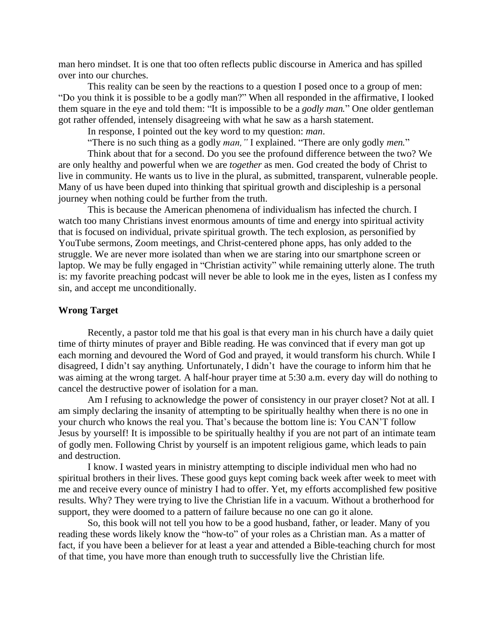man hero mindset. It is one that too often reflects public discourse in America and has spilled over into our churches.

This reality can be seen by the reactions to a question I posed once to a group of men: "Do you think it is possible to be a godly man?" When all responded in the affirmative, I looked them square in the eye and told them: "It is impossible to be a *godly man.*" One older gentleman got rather offended, intensely disagreeing with what he saw as a harsh statement.

In response, I pointed out the key word to my question: *man*.

"There is no such thing as a godly *man,"* I explained. "There are only godly *men.*"

Think about that for a second. Do you see the profound difference between the two? We are only healthy and powerful when we are *together* as men. God created the body of Christ to live in community. He wants us to live in the plural, as submitted, transparent, vulnerable people. Many of us have been duped into thinking that spiritual growth and discipleship is a personal journey when nothing could be further from the truth.

 This is because the American phenomena of individualism has infected the church. I watch too many Christians invest enormous amounts of time and energy into spiritual activity that is focused on individual, private spiritual growth. The tech explosion, as personified by YouTube sermons, Zoom meetings, and Christ-centered phone apps, has only added to the struggle. We are never more isolated than when we are staring into our smartphone screen or laptop. We may be fully engaged in "Christian activity" while remaining utterly alone. The truth is: my favorite preaching podcast will never be able to look me in the eyes, listen as I confess my sin, and accept me unconditionally.

#### **Wrong Target**

 Recently, a pastor told me that his goal is that every man in his church have a daily quiet time of thirty minutes of prayer and Bible reading. He was convinced that if every man got up each morning and devoured the Word of God and prayed, it would transform his church. While I disagreed, I didn't say anything. Unfortunately, I didn't have the courage to inform him that he was aiming at the wrong target. A half-hour prayer time at 5:30 a.m. every day will do nothing to cancel the destructive power of isolation for a man.

Am I refusing to acknowledge the power of consistency in our prayer closet? Not at all. I am simply declaring the insanity of attempting to be spiritually healthy when there is no one in your church who knows the real you. That's because the bottom line is: You CAN'T follow Jesus by yourself! It is impossible to be spiritually healthy if you are not part of an intimate team of godly men. Following Christ by yourself is an impotent religious game, which leads to pain and destruction.

I know. I wasted years in ministry attempting to disciple individual men who had no spiritual brothers in their lives. These good guys kept coming back week after week to meet with me and receive every ounce of ministry I had to offer. Yet, my efforts accomplished few positive results. Why? They were trying to live the Christian life in a vacuum. Without a brotherhood for support, they were doomed to a pattern of failure because no one can go it alone.

So, this book will not tell you how to be a good husband, father, or leader. Many of you reading these words likely know the "how-to" of your roles as a Christian man. As a matter of fact, if you have been a believer for at least a year and attended a Bible-teaching church for most of that time, you have more than enough truth to successfully live the Christian life.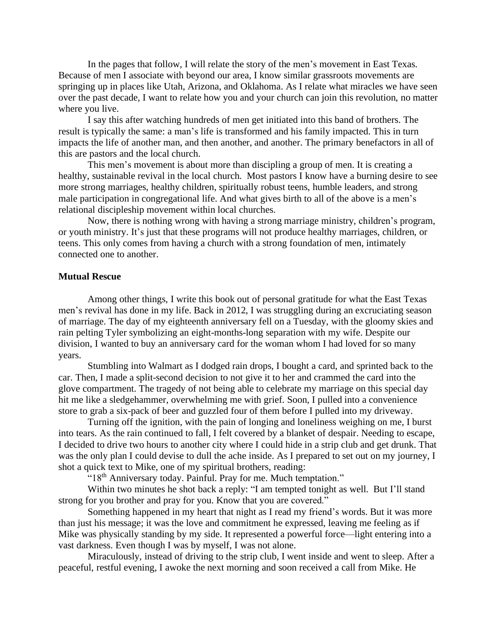In the pages that follow, I will relate the story of the men's movement in East Texas. Because of men I associate with beyond our area, I know similar grassroots movements are springing up in places like Utah, Arizona, and Oklahoma. As I relate what miracles we have seen over the past decade, I want to relate how you and your church can join this revolution, no matter where you live.

I say this after watching hundreds of men get initiated into this band of brothers. The result is typically the same: a man's life is transformed and his family impacted. This in turn impacts the life of another man, and then another, and another. The primary benefactors in all of this are pastors and the local church.

 This men's movement is about more than discipling a group of men. It is creating a healthy, sustainable revival in the local church. Most pastors I know have a burning desire to see more strong marriages, healthy children, spiritually robust teens, humble leaders, and strong male participation in congregational life. And what gives birth to all of the above is a men's relational discipleship movement within local churches.

 Now, there is nothing wrong with having a strong marriage ministry, children's program, or youth ministry. It's just that these programs will not produce healthy marriages, children, or teens. This only comes from having a church with a strong foundation of men, intimately connected one to another.

## **Mutual Rescue**

Among other things, I write this book out of personal gratitude for what the East Texas men's revival has done in my life. Back in 2012, I was struggling during an excruciating season of marriage. The day of my eighteenth anniversary fell on a Tuesday, with the gloomy skies and rain pelting Tyler symbolizing an eight-months-long separation with my wife. Despite our division, I wanted to buy an anniversary card for the woman whom I had loved for so many years.

Stumbling into Walmart as I dodged rain drops, I bought a card, and sprinted back to the car. Then, I made a split-second decision to not give it to her and crammed the card into the glove compartment. The tragedy of not being able to celebrate my marriage on this special day hit me like a sledgehammer, overwhelming me with grief. Soon, I pulled into a convenience store to grab a six-pack of beer and guzzled four of them before I pulled into my driveway.

 Turning off the ignition, with the pain of longing and loneliness weighing on me, I burst into tears. As the rain continued to fall, I felt covered by a blanket of despair. Needing to escape, I decided to drive two hours to another city where I could hide in a strip club and get drunk. That was the only plan I could devise to dull the ache inside. As I prepared to set out on my journey, I shot a quick text to Mike, one of my spiritual brothers, reading:

"18<sup>th</sup> Anniversary today. Painful. Pray for me. Much temptation."

 Within two minutes he shot back a reply: "I am tempted tonight as well. But I'll stand strong for you brother and pray for you. Know that you are covered."

Something happened in my heart that night as I read my friend's words. But it was more than just his message; it was the love and commitment he expressed, leaving me feeling as if Mike was physically standing by my side. It represented a powerful force—light entering into a vast darkness. Even though I was by myself, I was not alone.

 Miraculously, instead of driving to the strip club, I went inside and went to sleep. After a peaceful, restful evening, I awoke the next morning and soon received a call from Mike. He